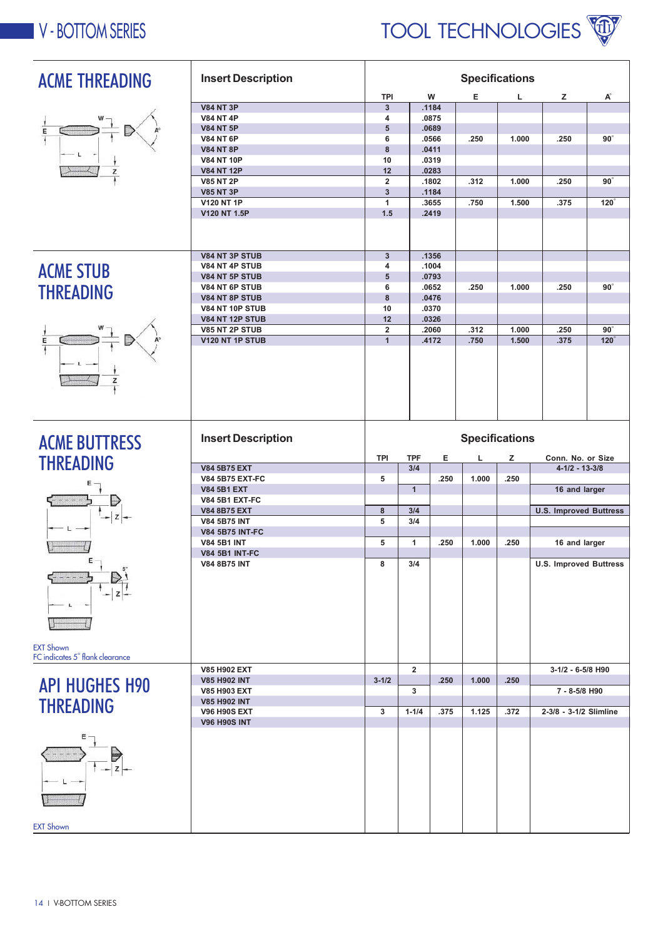



| <b>ACME THREADING</b>           | <b>Insert Description</b>             | <b>Specifications</b>   |                |                |                       |       |                               |             |
|---------------------------------|---------------------------------------|-------------------------|----------------|----------------|-----------------------|-------|-------------------------------|-------------|
|                                 |                                       | <b>TPI</b>              |                | W              | Е                     | L     | z                             | A           |
|                                 | <b>V84 NT 3P</b>                      | $\mathbf{3}$            |                | .1184          |                       |       |                               |             |
|                                 | <b>V84 NT 4P</b>                      | 4                       |                | .0875          |                       |       |                               |             |
| E                               | <b>V84 NT 5P</b>                      | $5\phantom{1}$          |                | .0689          |                       |       |                               |             |
|                                 | <b>V84 NT 6P</b>                      | 6<br>8                  |                | .0566<br>.0411 | .250                  | 1.000 | .250                          | $90^\circ$  |
|                                 | <b>V84 NT 8P</b><br><b>V84 NT 10P</b> | 10                      |                | .0319          |                       |       |                               |             |
|                                 | <b>V84 NT 12P</b>                     | 12                      |                | .0283          |                       |       |                               |             |
|                                 | <b>V85 NT 2P</b>                      | $\overline{2}$          |                | .1802          | .312                  | 1.000 | .250                          | $90^\circ$  |
|                                 | <b>V85 NT 3P</b>                      | $\mathbf{3}$            |                | .1184          |                       |       |                               |             |
|                                 | <b>V120 NT 1P</b>                     | $\mathbf{1}$            |                | .3655          | .750                  | 1.500 | .375                          | $120^\circ$ |
|                                 | V120 NT 1.5P                          | 1.5                     |                | .2419          |                       |       |                               |             |
|                                 |                                       |                         |                |                |                       |       |                               |             |
|                                 |                                       |                         |                |                |                       |       |                               |             |
|                                 |                                       |                         |                |                |                       |       |                               |             |
|                                 | V84 NT 3P STUB                        | $\mathbf{3}$            |                | .1356<br>.1004 |                       |       |                               |             |
| <b>ACME STUB</b>                | V84 NT 4P STUB<br>V84 NT 5P STUB      | 4<br>$5\phantom{1}$     |                | .0793          |                       |       |                               |             |
|                                 | V84 NT 6P STUB                        | 6                       |                | .0652          | .250                  | 1.000 | .250                          | $90^\circ$  |
| <b>THREADING</b>                | V84 NT 8P STUB                        | 8                       |                | .0476          |                       |       |                               |             |
|                                 | <b>V84 NT 10P STUB</b>                | 10                      |                | .0370          |                       |       |                               |             |
|                                 | <b>V84 NT 12P STUB</b>                | 12                      |                | .0326          |                       |       |                               |             |
|                                 | V85 NT 2P STUB                        | $\overline{\mathbf{2}}$ |                | .2060          | .312                  | 1.000 | .250                          | $90^\circ$  |
| Ε                               | V120 NT 1P STUB                       | $\mathbf{1}$            |                | .4172          | .750                  | 1.500 | .375                          | $120^\circ$ |
|                                 |                                       |                         |                |                |                       |       |                               |             |
|                                 |                                       |                         |                |                |                       |       |                               |             |
| Z                               |                                       |                         |                |                |                       |       |                               |             |
|                                 |                                       |                         |                |                |                       |       |                               |             |
|                                 |                                       |                         |                |                |                       |       |                               |             |
|                                 |                                       |                         |                |                |                       |       |                               |             |
|                                 |                                       |                         |                |                |                       |       |                               |             |
|                                 | <b>Insert Description</b>             |                         |                |                | <b>Specifications</b> |       |                               |             |
| <b>ACME BUTTRESS</b>            |                                       |                         |                |                |                       |       |                               |             |
|                                 |                                       | <b>TPI</b>              | <b>TPF</b>     | Е              | L                     | z     | Conn. No. or Size             |             |
| <b>THREADING</b>                | <b>V84 5B75 EXT</b>                   |                         | 3/4            |                |                       |       | $4 - 1/2 - 13 - 3/8$          |             |
|                                 |                                       |                         |                |                |                       |       |                               |             |
|                                 | <b>V84 5B75 EXT-FC</b>                | 5                       |                | .250           | 1.000                 | .250  |                               |             |
|                                 | <b>V84 5B1 EXT</b>                    |                         | $\overline{1}$ |                |                       |       | 16 and larger                 |             |
|                                 | <b>V84 5B1 EXT-FC</b>                 |                         |                |                |                       |       |                               |             |
|                                 | <b>V84 8B75 EXT</b>                   | 8                       | 3/4            |                |                       |       | <b>U.S. Improved Buttress</b> |             |
|                                 | <b>V84 5B75 INT</b>                   | 5                       | 3/4            |                |                       |       |                               |             |
|                                 | <b>V84 5B75 INT-FC</b>                |                         |                |                |                       |       |                               |             |
|                                 | <b>V84 5B1 INT</b>                    | 5                       | $\mathbf{1}$   | .250           | 1.000                 | .250  | 16 and larger                 |             |
| E                               | <b>V84 5B1 INT-FC</b>                 |                         |                |                |                       |       |                               |             |
|                                 | V84 8B75 IN I                         | ୪                       | 3/4            |                |                       |       | <b>U.S. Improved Buttress</b> |             |
|                                 |                                       |                         |                |                |                       |       |                               |             |
|                                 |                                       |                         |                |                |                       |       |                               |             |
|                                 |                                       |                         |                |                |                       |       |                               |             |
|                                 |                                       |                         |                |                |                       |       |                               |             |
|                                 |                                       |                         |                |                |                       |       |                               |             |
|                                 |                                       |                         |                |                |                       |       |                               |             |
| <b>EXT Shown</b>                |                                       |                         |                |                |                       |       |                               |             |
| FC indicates 5° flank clearance |                                       |                         |                |                |                       |       |                               |             |
|                                 | V85 H902 EXT                          |                         | $\overline{2}$ |                |                       |       | 3-1/2 - 6-5/8 H90             |             |
| <b>API HUGHES H90</b>           | <b>V85 H902 INT</b><br>V85 H903 EXT   | $3 - 1/2$               | 3              | .250           | 1.000                 | .250  | 7 - 8-5/8 H90                 |             |
|                                 | <b>V85 H902 INT</b>                   |                         |                |                |                       |       |                               |             |
| <b>THREADING</b>                | <b>V96 H90S EXT</b>                   | 3                       | $1 - 1/4$      | .375           | 1.125                 | .372  | 2-3/8 - 3-1/2 Slimline        |             |
|                                 | <b>V96 H90S INT</b>                   |                         |                |                |                       |       |                               |             |
| Е                               |                                       |                         |                |                |                       |       |                               |             |
|                                 |                                       |                         |                |                |                       |       |                               |             |
|                                 |                                       |                         |                |                |                       |       |                               |             |
|                                 |                                       |                         |                |                |                       |       |                               |             |
|                                 |                                       |                         |                |                |                       |       |                               |             |
|                                 |                                       |                         |                |                |                       |       |                               |             |
|                                 |                                       |                         |                |                |                       |       |                               |             |
|                                 |                                       |                         |                |                |                       |       |                               |             |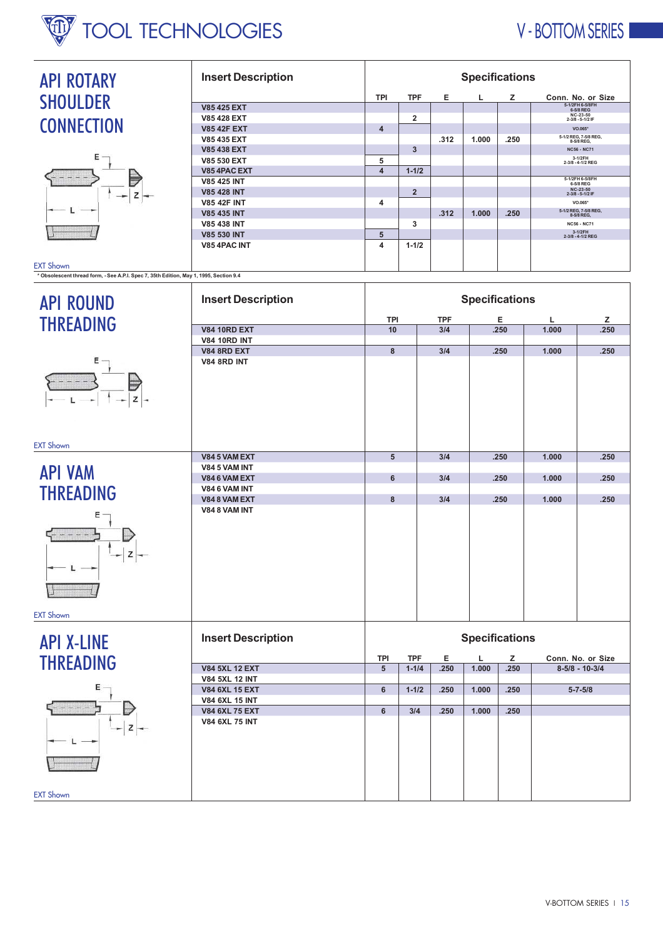

## V - BOTTOM SERIES I

| <b>API ROTARY</b>                                                                      | <b>Insert Description</b>                      | <b>Specifications</b>   |                |                   |                       |      |            |                                                              |  |  |
|----------------------------------------------------------------------------------------|------------------------------------------------|-------------------------|----------------|-------------------|-----------------------|------|------------|--------------------------------------------------------------|--|--|
| <b>SHOULDER</b>                                                                        |                                                | TPI                     | <b>TPF</b>     | Е                 | L                     | z    |            | Conn. No. or Size                                            |  |  |
|                                                                                        | <b>V85 425 EXT</b><br><b>V85 428 EXT</b>       |                         |                |                   |                       |      |            | 5-1/2FH 6-5/8FH<br>6-5/8 REG<br>NC-23-50<br>2-3/8 - 5-1/2 IF |  |  |
| <b>CONNECTION</b>                                                                      | <b>V85 42F EXT</b>                             | $\overline{4}$          | 2              |                   |                       |      |            | $\mathsf{VO.065}^\star$                                      |  |  |
|                                                                                        | V85 435 EXT                                    |                         |                | .312              | 1.000                 | .250 |            | 5-1/2 REG, 7-5/8 REG,<br>8-5/8 REG,                          |  |  |
|                                                                                        | V85 438 EXT                                    |                         | 3              |                   |                       |      |            | <b>NC56 - NC71</b>                                           |  |  |
| Ε                                                                                      | <b>V85 530 EXT</b>                             | 5                       |                |                   |                       |      |            | 3-1/2FH<br>2-3/8 - 4-1/2 REG                                 |  |  |
|                                                                                        | V85 4PAC EXT                                   | $\overline{4}$          | $1 - 1/2$      |                   |                       |      |            |                                                              |  |  |
|                                                                                        | <b>V85 425 INT</b>                             |                         |                |                   |                       |      |            | 5-1/2FH 6-5/8FH<br>6-5/8 REG                                 |  |  |
| z                                                                                      | <b>V85 428 INT</b>                             |                         | $\overline{2}$ |                   |                       |      |            | NC-23-50<br>2-3/8 - 5-1/2 IF                                 |  |  |
|                                                                                        | <b>V85 42F INT</b>                             | 4                       |                |                   |                       |      |            | VO.065*                                                      |  |  |
|                                                                                        | <b>V85 435 INT</b><br><b>V85 438 INT</b>       |                         | 3              | .312              | 1.000                 | .250 |            | 5-1/2 REG, 7-5/8 REG,<br>8-5/8 REG,<br><b>NC56 - NC71</b>    |  |  |
|                                                                                        | <b>V85 530 INT</b>                             | $\sqrt{5}$              |                |                   |                       |      |            | 3-1/2FH<br>2-3/8 - 4-1/2 REG                                 |  |  |
|                                                                                        | V85 4PAC INT                                   | $\overline{\mathbf{4}}$ | $1 - 1/2$      |                   |                       |      |            |                                                              |  |  |
|                                                                                        |                                                |                         |                |                   |                       |      |            |                                                              |  |  |
| <b>EXT Shown</b>                                                                       |                                                |                         |                |                   |                       |      |            |                                                              |  |  |
| * Obsolescent thread form, - See A.P.I. Spec 7, 35th Edition, May 1, 1995, Section 9.4 |                                                |                         |                |                   |                       |      |            |                                                              |  |  |
|                                                                                        |                                                |                         |                |                   |                       |      |            |                                                              |  |  |
| <b>API ROUND</b>                                                                       | <b>Insert Description</b>                      |                         |                |                   | <b>Specifications</b> |      |            |                                                              |  |  |
|                                                                                        |                                                |                         |                |                   |                       |      |            |                                                              |  |  |
| <b>THREADING</b>                                                                       | <b>V84 10RD EXT</b>                            | TPI<br>10               |                | <b>TPF</b><br>3/4 |                       | Е    | L<br>1.000 | z<br>.250                                                    |  |  |
|                                                                                        | <b>V84 10RD INT</b>                            |                         |                |                   | .250                  |      |            |                                                              |  |  |
|                                                                                        | <b>V84 8RD EXT</b>                             | 8                       |                | 3/4               |                       | .250 | 1.000      | .250                                                         |  |  |
| Е                                                                                      | <b>V84 8RD INT</b>                             |                         |                |                   |                       |      |            |                                                              |  |  |
|                                                                                        |                                                |                         |                |                   |                       |      |            |                                                              |  |  |
|                                                                                        |                                                |                         |                |                   |                       |      |            |                                                              |  |  |
|                                                                                        |                                                |                         |                |                   |                       |      |            |                                                              |  |  |
|                                                                                        |                                                |                         |                |                   |                       |      |            |                                                              |  |  |
|                                                                                        |                                                |                         |                |                   |                       |      |            |                                                              |  |  |
|                                                                                        |                                                |                         |                |                   |                       |      |            |                                                              |  |  |
| <b>EXT Shown</b>                                                                       |                                                |                         |                |                   |                       |      |            |                                                              |  |  |
|                                                                                        | V84 5 VAM EXT                                  | 5                       |                | 3/4               |                       | .250 | 1.000      | .250                                                         |  |  |
|                                                                                        | V84 5 VAM INT                                  |                         |                |                   |                       |      |            |                                                              |  |  |
| <b>API VAM</b>                                                                         | V84 6 VAM EXT                                  | 6                       |                | 3/4               |                       | .250 | 1.000      | .250                                                         |  |  |
| <b>THREADING</b>                                                                       | V84 6 VAM INT                                  |                         |                |                   |                       |      |            |                                                              |  |  |
|                                                                                        | V848 VAM EXT                                   | 8                       |                | 3/4               |                       | .250 | 1.000      | .250                                                         |  |  |
| Ε                                                                                      | V84 8 VAM INT                                  |                         |                |                   |                       |      |            |                                                              |  |  |
|                                                                                        |                                                |                         |                |                   |                       |      |            |                                                              |  |  |
|                                                                                        |                                                |                         |                |                   |                       |      |            |                                                              |  |  |
| z                                                                                      |                                                |                         |                |                   |                       |      |            |                                                              |  |  |
|                                                                                        |                                                |                         |                |                   |                       |      |            |                                                              |  |  |
|                                                                                        |                                                |                         |                |                   |                       |      |            |                                                              |  |  |
|                                                                                        |                                                |                         |                |                   |                       |      |            |                                                              |  |  |
|                                                                                        |                                                |                         |                |                   |                       |      |            |                                                              |  |  |
| <b>EXT Shown</b>                                                                       |                                                |                         |                |                   |                       |      |            |                                                              |  |  |
|                                                                                        |                                                |                         |                |                   |                       |      |            |                                                              |  |  |
|                                                                                        | <b>Insert Description</b>                      |                         |                |                   |                       |      |            |                                                              |  |  |
| <b>API X-LINE</b>                                                                      |                                                | <b>Specifications</b>   |                |                   |                       |      |            |                                                              |  |  |
| <b>THREADING</b>                                                                       |                                                | <b>TPI</b>              | <b>TPF</b>     | Е                 | L                     | z    |            | Conn. No. or Size                                            |  |  |
|                                                                                        | <b>V84 5XL 12 EXT</b>                          | 5                       | $1 - 1/4$      | .250              | 1.000                 | .250 |            | $8-5/8 - 10-3/4$                                             |  |  |
|                                                                                        | <b>V84 5XL 12 INT</b>                          |                         |                |                   |                       |      |            |                                                              |  |  |
| Ε                                                                                      | <b>V84 6XL 15 EXT</b>                          | 6                       | $1 - 1/2$      | .250              | 1.000                 | .250 |            | $5 - 7 - 5/8$                                                |  |  |
|                                                                                        | <b>V84 6XL 15 INT</b>                          |                         |                |                   |                       |      |            |                                                              |  |  |
|                                                                                        | <b>V84 6XL 75 EXT</b><br><b>V84 6XL 75 INT</b> | 6                       | 3/4            | .250              | 1.000                 | .250 |            |                                                              |  |  |
|                                                                                        |                                                |                         |                |                   |                       |      |            |                                                              |  |  |
|                                                                                        |                                                |                         |                |                   |                       |      |            |                                                              |  |  |
|                                                                                        |                                                |                         |                |                   |                       |      |            |                                                              |  |  |
|                                                                                        |                                                |                         |                |                   |                       |      |            |                                                              |  |  |
|                                                                                        |                                                |                         |                |                   |                       |      |            |                                                              |  |  |
|                                                                                        |                                                |                         |                |                   |                       |      |            |                                                              |  |  |
| <b>EXT Shown</b>                                                                       |                                                |                         |                |                   |                       |      |            |                                                              |  |  |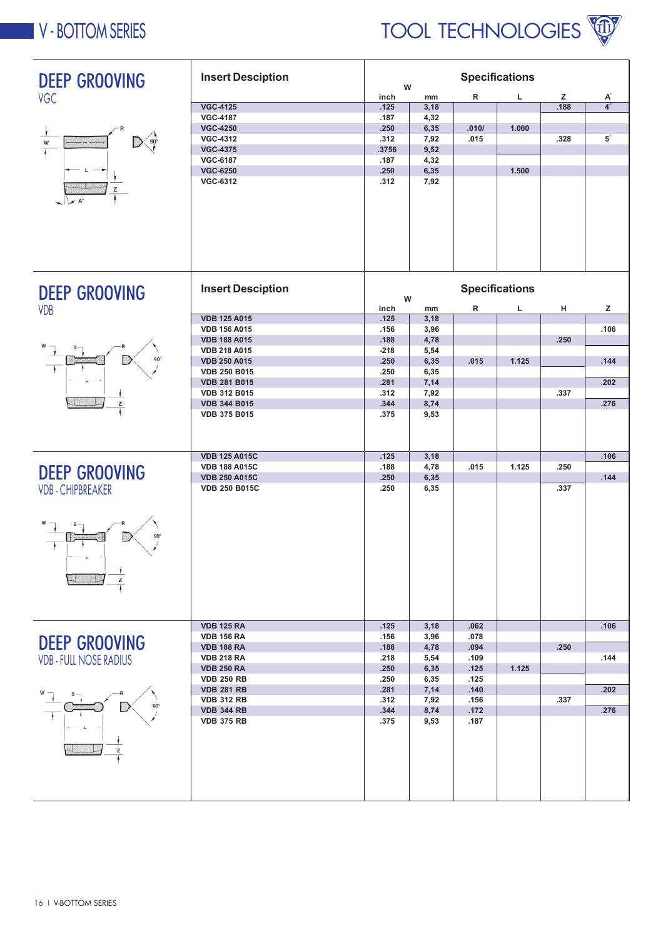



| <b>DEEP GROOVING</b>          | <b>Insert Desciption</b> | W      |      | <b>Specifications</b> |                       |      |                      |
|-------------------------------|--------------------------|--------|------|-----------------------|-----------------------|------|----------------------|
| <b>VGC</b>                    |                          | inch   | mm   | R                     | L                     | z    | A°                   |
|                               | <b>VGC-4125</b>          | .125   | 3,18 |                       |                       | .188 | $\overline{4}$ °     |
|                               | <b>VGC-4187</b>          | .187   | 4,32 |                       |                       |      |                      |
|                               | <b>VGC-4250</b>          | .250   | 6,35 | .010/                 | 1.000                 |      |                      |
|                               | <b>VGC-4312</b>          | .312   | 7,92 | .015                  |                       | .328 | $\mathbf{5}^{\circ}$ |
|                               | <b>VGC-4375</b>          | .3756  | 9,52 |                       |                       |      |                      |
|                               | <b>VGC-6187</b>          | .187   | 4,32 |                       |                       |      |                      |
|                               | <b>VGC-6250</b>          | .250   | 6,35 |                       | 1.500                 |      |                      |
|                               | <b>VGC-6312</b>          | .312   | 7,92 |                       |                       |      |                      |
|                               |                          |        |      |                       |                       |      |                      |
|                               |                          |        |      |                       |                       |      |                      |
|                               |                          |        |      |                       |                       |      |                      |
|                               |                          |        |      |                       |                       |      |                      |
|                               |                          |        |      |                       |                       |      |                      |
|                               |                          |        |      |                       |                       |      |                      |
|                               |                          |        |      |                       |                       |      |                      |
|                               |                          |        |      |                       |                       |      |                      |
|                               |                          |        |      |                       |                       |      |                      |
| <b>DEEP GROOVING</b>          | <b>Insert Desciption</b> |        |      |                       | <b>Specifications</b> |      |                      |
|                               |                          | W      |      |                       |                       |      |                      |
| <b>VDB</b>                    |                          | inch   | mm   | R                     | г                     | н    | z                    |
|                               | <b>VDB 125 A015</b>      | .125   | 3,18 |                       |                       |      |                      |
|                               | <b>VDB 156 A015</b>      | .156   | 3,96 |                       |                       |      | .106                 |
|                               | <b>VDB 188 A015</b>      | .188   | 4,78 |                       |                       | .250 |                      |
|                               | <b>VDB 218 A015</b>      | $-218$ | 5,54 |                       |                       |      |                      |
|                               | <b>VDB 250 A015</b>      | .250   | 6,35 | .015                  | 1.125                 |      | .144                 |
|                               | <b>VDB 250 B015</b>      | .250   | 6,35 |                       |                       |      |                      |
|                               | <b>VDB 281 B015</b>      | .281   | 7,14 |                       |                       |      | .202                 |
|                               | <b>VDB 312 B015</b>      | .312   | 7,92 |                       |                       | .337 |                      |
| z                             | <b>VDB 344 B015</b>      | .344   | 8,74 |                       |                       |      | .276                 |
|                               | <b>VDB 375 B015</b>      | .375   | 9,53 |                       |                       |      |                      |
|                               |                          |        |      |                       |                       |      |                      |
|                               |                          |        |      |                       |                       |      |                      |
|                               |                          |        |      |                       |                       |      |                      |
|                               | <b>VDB 125 A015C</b>     | .125   | 3,18 |                       |                       |      | .106                 |
| <b>DEEP GROOVING</b>          | <b>VDB 188 A015C</b>     | .188   | 4,78 | .015                  | 1.125                 | .250 |                      |
|                               | <b>VDB 250 A015C</b>     | .250   | 6,35 |                       |                       |      | .144                 |
| <b>VDB-CHIPBREAKER</b>        | <b>VDB 250 B015C</b>     | .250   | 6,35 |                       |                       | .337 |                      |
|                               |                          |        |      |                       |                       |      |                      |
|                               |                          |        |      |                       |                       |      |                      |
|                               |                          |        |      |                       |                       |      |                      |
|                               |                          |        |      |                       |                       |      |                      |
|                               |                          |        |      |                       |                       |      |                      |
|                               |                          |        |      |                       |                       |      |                      |
|                               |                          |        |      |                       |                       |      |                      |
| z                             |                          |        |      |                       |                       |      |                      |
|                               |                          |        |      |                       |                       |      |                      |
|                               |                          |        |      |                       |                       |      |                      |
|                               |                          |        |      |                       |                       |      |                      |
|                               |                          |        |      |                       |                       |      |                      |
|                               | <b>VDB 125 RA</b>        | .125   | 3,18 | .062                  |                       |      | .106                 |
| <b>DEEP GROOVING</b>          | <b>VDB 156 RA</b>        | .156   | 3,96 | .078                  |                       |      |                      |
|                               | <b>VDB 188 RA</b>        | .188   | 4,78 | .094                  |                       | .250 |                      |
| <b>VDB - FULL NOSE RADIUS</b> | <b>VDB 218 RA</b>        | .218   | 5,54 | .109                  |                       |      | .144                 |
|                               | <b>VDB 250 RA</b>        | .250   | 6,35 | .125                  | 1.125                 |      |                      |
|                               | <b>VDB 250 RB</b>        | .250   | 6,35 | .125                  |                       |      |                      |
|                               | <b>VDB 281 RB</b>        | .281   | 7,14 | .140                  |                       |      | .202                 |
|                               | <b>VDB 312 RB</b>        | .312   | 7,92 | .156                  |                       | .337 |                      |
|                               | <b>VDB 344 RB</b>        | .344   | 8,74 | .172                  |                       |      | .276                 |
|                               | <b>VDB 375 RB</b>        | .375   | 9,53 | .187                  |                       |      |                      |
|                               |                          |        |      |                       |                       |      |                      |
| z                             |                          |        |      |                       |                       |      |                      |
|                               |                          |        |      |                       |                       |      |                      |
|                               |                          |        |      |                       |                       |      |                      |
|                               |                          |        |      |                       |                       |      |                      |
|                               |                          |        |      |                       |                       |      |                      |